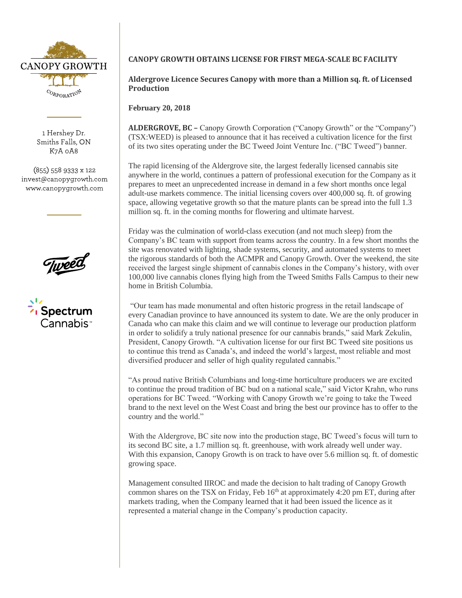

1 Hershey Dr. Smiths Falls, ON K7A 0A8

 $(855)$  558 9333 x 122 invest@canopygrowth.com www.canopygrowth.com



# **CANOPY GROWTH OBTAINS LICENSE FOR FIRST MEGA-SCALE BC FACILITY**

**Aldergrove Licence Secures Canopy with more than a Million sq. ft. of Licensed Production**

**February 20, 2018** 

**ALDERGROVE, BC –** Canopy Growth Corporation ("Canopy Growth" or the "Company") (TSX:WEED) is pleased to announce that it has received a cultivation licence for the first of its two sites operating under the BC Tweed Joint Venture Inc. ("BC Tweed") banner.

The rapid licensing of the Aldergrove site, the largest federally licensed cannabis site anywhere in the world, continues a pattern of professional execution for the Company as it prepares to meet an unprecedented increase in demand in a few short months once legal adult-use markets commence. The initial licensing covers over 400,000 sq. ft. of growing space, allowing vegetative growth so that the mature plants can be spread into the full 1.3 million sq. ft. in the coming months for flowering and ultimate harvest.

Friday was the culmination of world-class execution (and not much sleep) from the Company's BC team with support from teams across the country. In a few short months the site was renovated with lighting, shade systems, security, and automated systems to meet the rigorous standards of both the ACMPR and Canopy Growth. Over the weekend, the site received the largest single shipment of cannabis clones in the Company's history, with over 100,000 live cannabis clones flying high from the Tweed Smiths Falls Campus to their new home in British Columbia.

"Our team has made monumental and often historic progress in the retail landscape of every Canadian province to have announced its system to date. We are the only producer in Canada who can make this claim and we will continue to leverage our production platform in order to solidify a truly national presence for our cannabis brands," said Mark Zekulin, President, Canopy Growth. "A cultivation license for our first BC Tweed site positions us to continue this trend as Canada's, and indeed the world's largest, most reliable and most diversified producer and seller of high quality regulated cannabis."

"As proud native British Columbians and long-time horticulture producers we are excited to continue the proud tradition of BC bud on a national scale," said Victor Krahn, who runs operations for BC Tweed. "Working with Canopy Growth we're going to take the Tweed brand to the next level on the West Coast and bring the best our province has to offer to the country and the world."

With the Aldergrove, BC site now into the production stage, BC Tweed's focus will turn to its second BC site, a 1.7 million sq. ft. greenhouse, with work already well under way. With this expansion, Canopy Growth is on track to have over 5.6 million sq. ft. of domestic growing space.

Management consulted IIROC and made the decision to halt trading of Canopy Growth common shares on the TSX on Friday, Feb  $16<sup>th</sup>$  at approximately 4:20 pm ET, during after markets trading, when the Company learned that it had been issued the licence as it represented a material change in the Company's production capacity.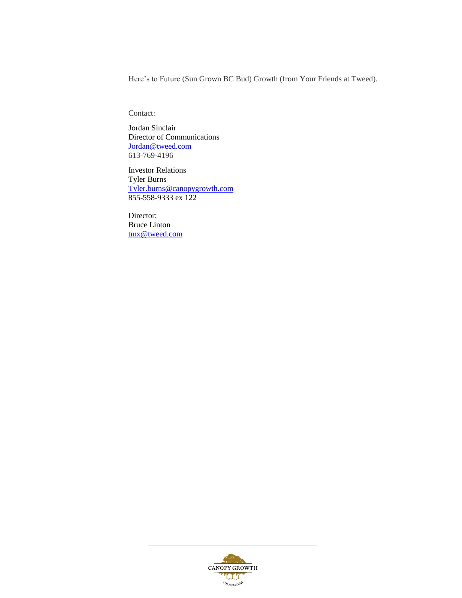Here's to Future (Sun Grown BC Bud) Growth (from Your Friends at Tweed).

Contact:

Jordan Sinclair Director of Communications [Jordan@tweed.com](mailto:Jordan@tweed.com) 613-769-4196

Investor Relations Tyler Burns [Tyler.burns@canopygrowth.com](mailto:Tyler.burns@canopygrowth.com) 855-558-9333 ex 122

Director: Bruce Linton [tmx@tweed.com](mailto:tmx@tweed.com)